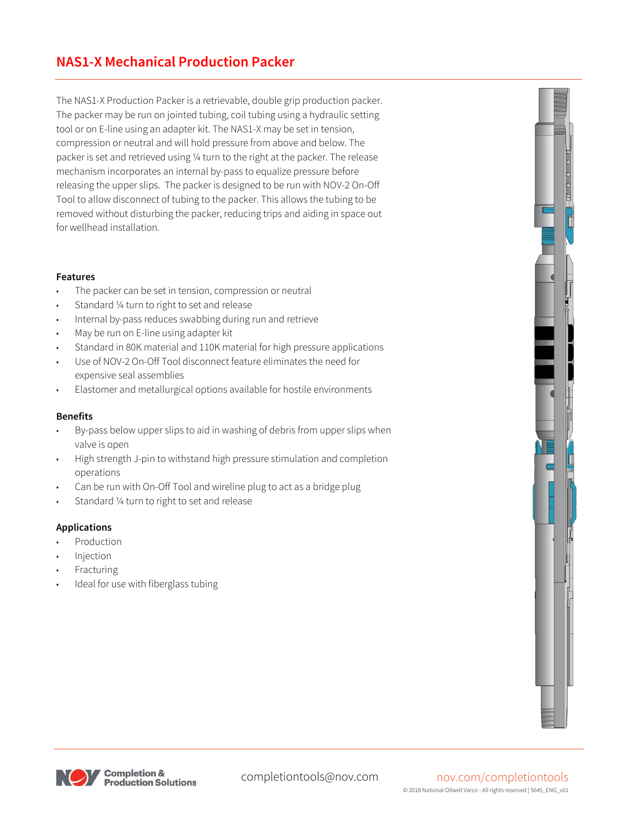The NAS1-X Production Packer is a retrievable, double grip production packer. The packer may be run on jointed tubing, coil tubing using a hydraulic setting tool or on E-line using an adapter kit. The NAS1-X may be set in tension, compression or neutral and will hold pressure from above and below. The packer is set and retrieved using ¼ turn to the right at the packer. The release mechanism incorporates an internal by-pass to equalize pressure before releasing the upper slips. The packer is designed to be run with NOV-2 On-Off Tool to allow disconnect of tubing to the packer. This allows the tubing to be removed without disturbing the packer, reducing trips and aiding in space out for wellhead installation.

## **Features**

- The packer can be set in tension, compression or neutral
- Standard 1/4 turn to right to set and release
- Internal by-pass reduces swabbing during run and retrieve
- May be run on E-line using adapter kit
- Standard in 80K material and 110K material for high pressure applications
- Use of NOV-2 On-Off Tool disconnect feature eliminates the need for expensive seal assemblies
- Elastomer and metallurgical options available for hostile environments

## **Benefits**

- By-pass below upper slips to aid in washing of debris from upper slips when valve is open
- High strength J-pin to withstand high pressure stimulation and completion operations
- Can be run with On-Off Tool and wireline plug to act as a bridge plug
- Standard 1/4 turn to right to set and release

## **Applications**

- **Production**
- **Injection**
- **Fracturing**
- Ideal for use with fiberglass tubing